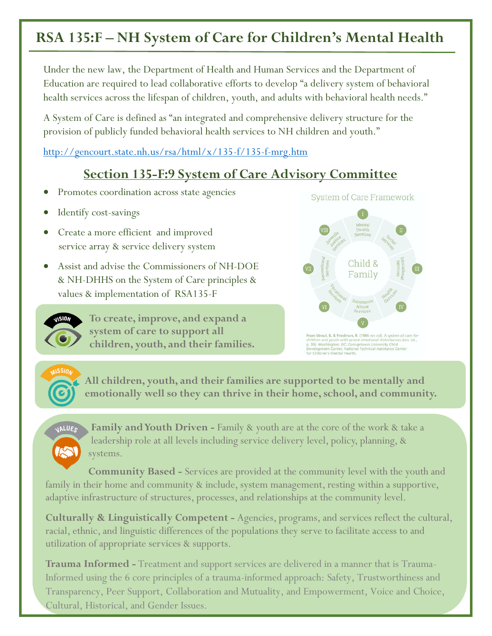## **RSA 135:F – NH System of Care for Children's Mental Health**

Under the new law, the Department of Health and Human Services and the Department of Education are required to lead collaborative efforts to develop "a delivery system of behavioral health services across the lifespan of children, youth, and adults with behavioral health needs."

A System of Care is defined as "an integrated and comprehensive delivery structure for the provision of publicly funded behavioral health services to NH children and youth."

<http://gencourt.state.nh.us/rsa/html/x/135-f/135-f-mrg.htm>

## **Section 135-F:9 System of Care Advisory Committee**

- Promotes coordination across state agencies
- Identify cost-savings
- Create a more efficient and improved service array & service delivery system
- Assist and advise the Commissioners of NH-DOE & NH-DHHS on the System of Care principles & values & implementation of RSA135-F



**To create, improve, and expand a system of care to support all children, youth, and their families.** 



rom Stroul, B. & Friedman, R. (1986 rev ed). *A system of care for<br>hildren and youth with severe emotional disturbances (rev. ed.,<br>. 30). Washington, DC: Georgetown University Child<br>evelopment Center, National Technical As* ildren's Mental Health

**All children, youth, and their families are supported to be mentally and emotionally well so they can thrive in their home, school, and community.** 



 **Family and Youth Driven -** Family & youth are at the core of the work & take a leadership role at all levels including service delivery level, policy, planning, & systems.

 **Community Based -** Services are provided at the community level with the youth and family in their home and community & include, system management, resting within a supportive, adaptive infrastructure of structures, processes, and relationships at the community level.

**Culturally & Linguistically Competent -** Agencies, programs, and services reflect the cultural, racial, ethnic, and linguistic differences of the populations they serve to facilitate access to and utilization of appropriate services & supports.

**Trauma Informed -** Treatment and support services are delivered in a manner that is Trauma-Informed using the 6 core principles of a trauma-informed approach: Safety, Trustworthiness and Transparency, Peer Support, Collaboration and Mutuality, and Empowerment, Voice and Choice, Cultural, Historical, and Gender Issues.